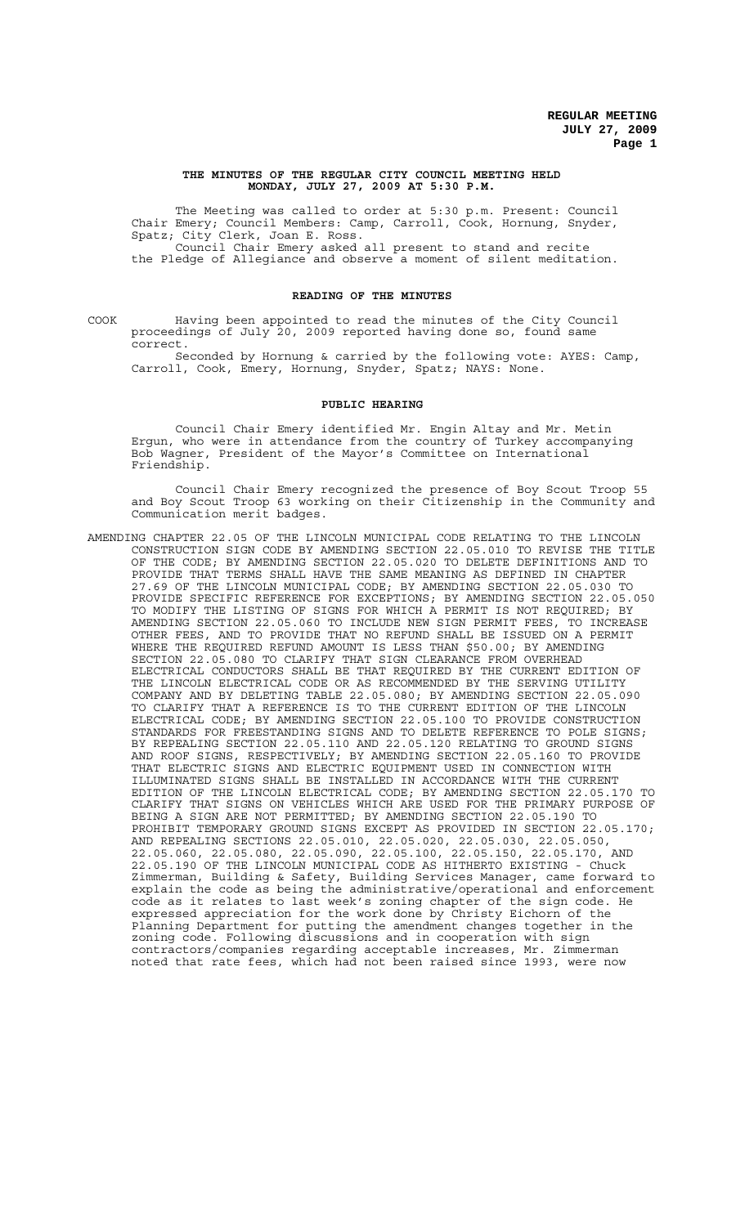## **THE MINUTES OF THE REGULAR CITY COUNCIL MEETING HELD MONDAY, JULY 27, 2009 AT 5:30 P.M.**

The Meeting was called to order at 5:30 p.m. Present: Council Chair Emery; Council Members: Camp, Carroll, Cook, Hornung, Snyder, Spatz; City Clerk, Joan E. Ross. Council Chair Emery asked all present to stand and recite the Pledge of Allegiance and observe a moment of silent meditation.

## **READING OF THE MINUTES**

COOK Having been appointed to read the minutes of the City Council proceedings of July 20, 2009 reported having done so, found same correct.

Seconded by Hornung & carried by the following vote: AYES: Camp, Carroll, Cook, Emery, Hornung, Snyder, Spatz; NAYS: None.

### **PUBLIC HEARING**

Council Chair Emery identified Mr. Engin Altay and Mr. Metin Ergun, who were in attendance from the country of Turkey accompanying Bob Wagner, President of the Mayor's Committee on International Friendship.

Council Chair Emery recognized the presence of Boy Scout Troop 55 and Boy Scout Troop 63 working on their Citizenship in the Community and Communication merit badges.

AMENDING CHAPTER 22.05 OF THE LINCOLN MUNICIPAL CODE RELATING TO THE LINCOLN CONSTRUCTION SIGN CODE BY AMENDING SECTION 22.05.010 TO REVISE THE TITLE OF THE CODE; BY AMENDING SECTION 22.05.020 TO DELETE DEFINITIONS AND TO PROVIDE THAT TERMS SHALL HAVE THE SAME MEANING AS DEFINED IN CHAPTER 27.69 OF THE LINCOLN MUNICIPAL CODE; BY AMENDING SECTION 22.05.030 TO PROVIDE SPECIFIC REFERENCE FOR EXCEPTIONS; BY AMENDING SECTION 22.05.050 TO MODIFY THE LISTING OF SIGNS FOR WHICH A PERMIT IS NOT REQUIRED; BY<br>AMENDING SECTION 22.05.060 TO INCLUDE NEW SIGN PERMIT FEES, TO INCREASE AMENDING SECTION 22.05.060 TO INCLUDE NEW SIGN PERMIT FEES, TO INCREASE OTHER FEES, AND TO PROVIDE THAT NO REFUND SHALL BE ISSUED ON A PERMIT WHERE THE REQUIRED REFUND AMOUNT IS LESS THAN \$50.00; BY AMENDING SECTION 22.05.080 TO CLARIFY THAT SIGN CLEARANCE FROM OVERHEAD ELECTRICAL CONDUCTORS SHALL BE THAT REQUIRED BY THE CURRENT EDITION OF THE LINCOLN ELECTRICAL CODE OR AS RECOMMENDED BY THE SERVING UTILITY COMPANY AND BY DELETING TABLE 22.05.080; BY AMENDING SECTION 22.05.090 TO CLARIFY THAT A REFERENCE IS TO THE CURRENT EDITION OF THE LINCOLN ELECTRICAL CODE; BY AMENDING SECTION 22.05.100 TO PROVIDE CONSTRUCTION STANDARDS FOR FREESTANDING SIGNS AND TO DELETE REFERENCE TO POLE SIGNS; BY REPEALING SECTION 22.05.110 AND 22.05.120 RELATING TO GROUND SIGNS AND ROOF SIGNS, RESPECTIVELY; BY AMENDING SECTION 22.05.160 TO PROVIDE THAT ELECTRIC SIGNS AND ELECTRIC EQUIPMENT USED IN CONNECTION WITH ILLUMINATED SIGNS SHALL BE INSTALLED IN ACCORDANCE WITH THE CURRENT EDITION OF THE LINCOLN ELECTRICAL CODE; BY AMENDING SECTION 22.05.170 TO CLARIFY THAT SIGNS ON VEHICLES WHICH ARE USED FOR THE PRIMARY PURPOSE OF BEING A SIGN ARE NOT PERMITTED; BY AMENDING SECTION 22.05.190 TO PROHIBIT TEMPORARY GROUND SIGNS EXCEPT AS PROVIDED IN SECTION 22.05.170; AND REPEALING SECTIONS 22.05.010, 22.05.020, 22.05.030, 22.05.050, 22.05.060, 22.05.080, 22.05.090, 22.05.100, 22.05.150, 22.05.170, AND 22.05.190 OF THE LINCOLN MUNICIPAL CODE AS HITHERTO EXISTING - Chuck Zimmerman, Building & Safety, Building Services Manager, came forward to explain the code as being the administrative/operational and enforcement code as it relates to last week's zoning chapter of the sign code. He expressed appreciation for the work done by Christy Eichorn of the Planning Department for putting the amendment changes together in the zoning code. Following discussions and in cooperation with sign contractors/companies regarding acceptable increases, Mr. Zimmerman noted that rate fees, which had not been raised since 1993, were now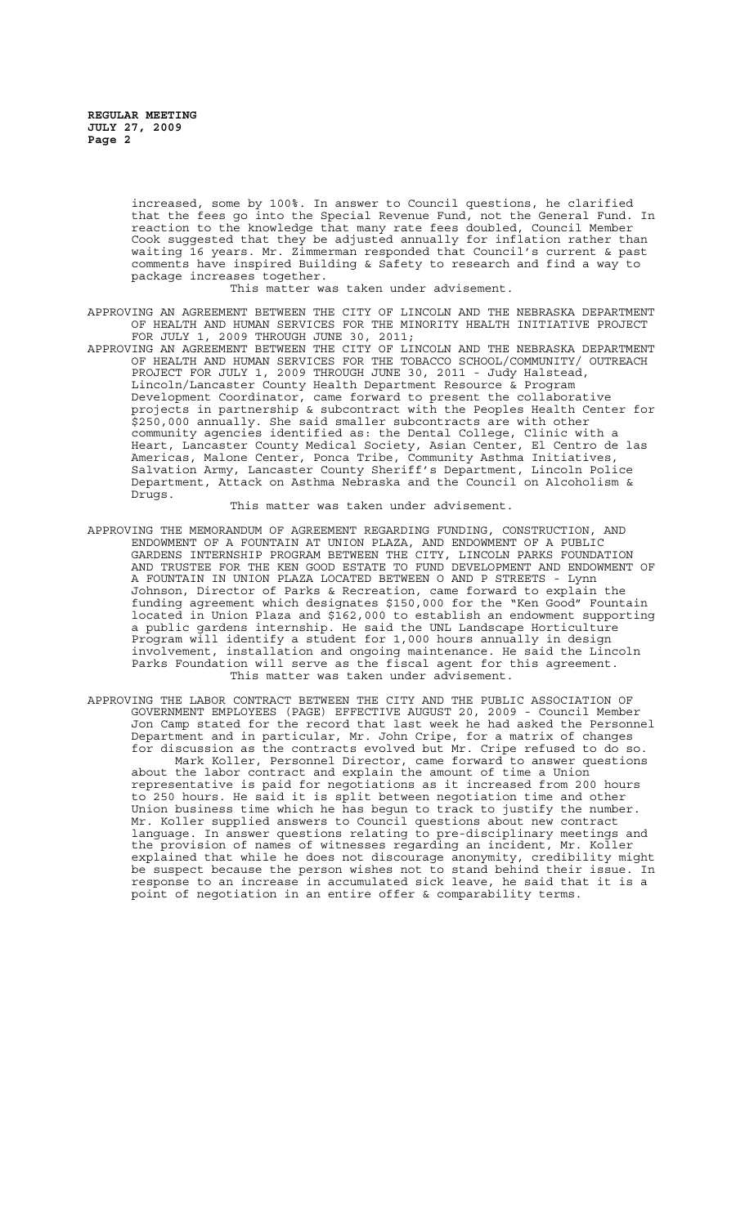increased, some by 100%. In answer to Council questions, he clarified that the fees go into the Special Revenue Fund, not the General Fund. In reaction to the knowledge that many rate fees doubled, Council Member Cook suggested that they be adjusted annually for inflation rather than waiting 16 years. Mr. Zimmerman responded that Council's current & past comments have inspired Building & Safety to research and find a way to package increases together.

This matter was taken under advisement.

- APPROVING AN AGREEMENT BETWEEN THE CITY OF LINCOLN AND THE NEBRASKA DEPARTMENT OF HEALTH AND HUMAN SERVICES FOR THE MINORITY HEALTH INITIATIVE PROJECT FOR JULY 1, 2009 THROUGH JUNE 30, 2011;
- APPROVING AN AGREEMENT BETWEEN THE CITY OF LINCOLN AND THE NEBRASKA DEPARTMENT OF HEALTH AND HUMAN SERVICES FOR THE TOBACCO SCHOOL/COMMUNITY/ OUTREACH PROJECT FOR JULY 1, 2009 THROUGH JUNE 30, 2011 - Judy Halstead, Lincoln/Lancaster County Health Department Resource & Program Development Coordinator, came forward to present the collaborative projects in partnership & subcontract with the Peoples Health Center for \$250,000 annually. She said smaller subcontracts are with other community agencies identified as: the Dental College, Clinic with a Heart, Lancaster County Medical Society, Asian Center, El Centro de las Americas, Malone Center, Ponca Tribe, Community Asthma Initiatives, Salvation Army, Lancaster County Sheriff's Department, Lincoln Police Department, Attack on Asthma Nebraska and the Council on Alcoholism & Drugs.

This matter was taken under advisement.

- APPROVING THE MEMORANDUM OF AGREEMENT REGARDING FUNDING, CONSTRUCTION, ENDOWMENT OF A FOUNTAIN AT UNION PLAZA, AND ENDOWMENT OF A PUBLIC GARDENS INTERNSHIP PROGRAM BETWEEN THE CITY, LINCOLN PARKS FOUNDATION AND TRUSTEE FOR THE KEN GOOD ESTATE TO FUND DEVELOPMENT AND ENDOWMENT OF A FOUNTAIN IN UNION PLAZA LOCATED BETWEEN O AND P STREETS - Lynn Johnson, Director of Parks & Recreation, came forward to explain the funding agreement which designates \$150,000 for the "Ken Good" Fountain located in Union Plaza and \$162,000 to establish an endowment supporting a public gardens internship. He said the UNL Landscape Horticulture Program will identify a student for 1,000 hours annually in design involvement, installation and ongoing maintenance. He said the Lincoln Parks Foundation will serve as the fiscal agent for this agreement. This matter was taken under advisement.
- APPROVING THE LABOR CONTRACT BETWEEN THE CITY AND THE PUBLIC ASSOCIATION OF GOVERNMENT EMPLOYEES (PAGE) EFFECTIVE AUGUST 20, 2009 - Council Member Jon Camp stated for the record that last week he had asked the Personnel Department and in particular, Mr. John Cripe, for a matrix of changes for discussion as the contracts evolved but Mr. Cripe refused to do so. Mark Koller, Personnel Director, came forward to answer questions about the labor contract and explain the amount of time a Union representative is paid for negotiations as it increased from 200 hours to 250 hours. He said it is split between negotiation time and other Union business time which he has begun to track to justify the number. Mr. Koller supplied answers to Council questions about new contract language. In answer questions relating to pre-disciplinary meetings and the provision of names of witnesses regarding an incident, Mr. Koller explained that while he does not discourage anonymity, credibility might be suspect because the person wishes not to stand behind their issue. In response to an increase in accumulated sick leave, he said that it is a point of negotiation in an entire offer & comparability terms.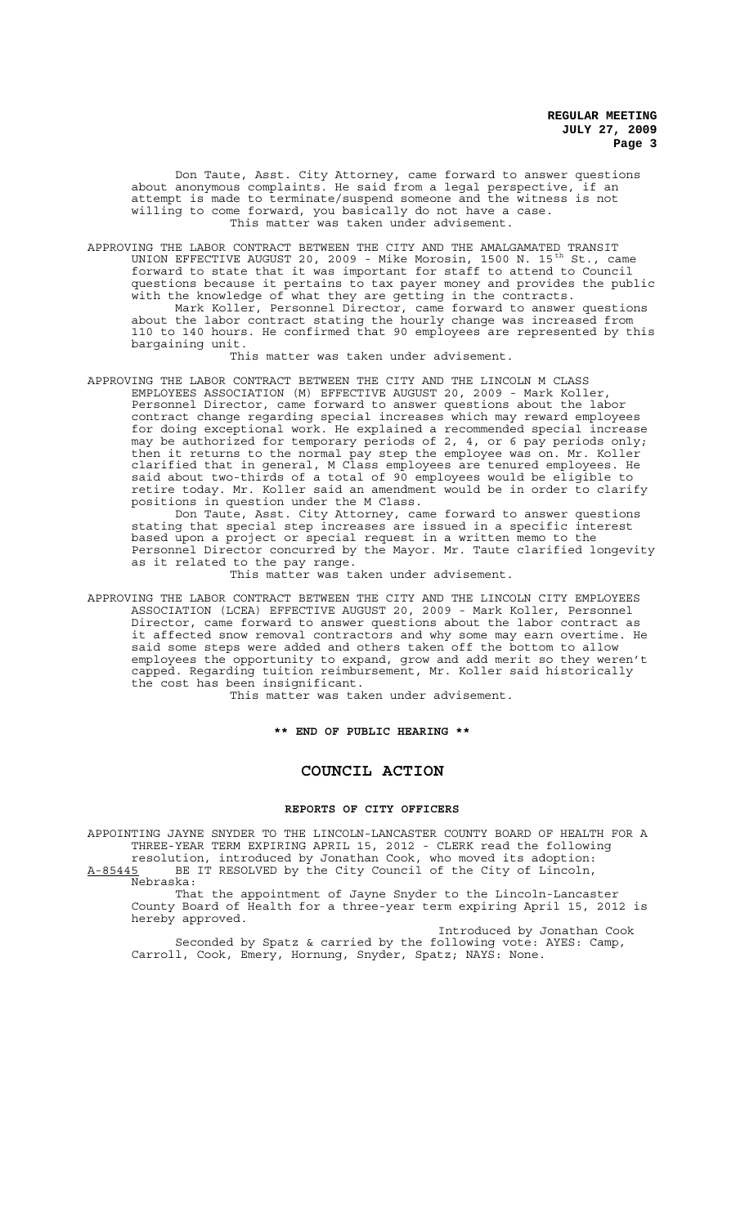Don Taute, Asst. City Attorney, came forward to answer questions about anonymous complaints. He said from a legal perspective, if an attempt is made to terminate/suspend someone and the witness is not willing to come forward, you basically do not have a case. This matter was taken under advisement.

APPROVING THE LABOR CONTRACT BETWEEN THE CITY AND THE AMALGAMATED TRANSIT UNION EFFECTIVE AUGUST 20, 2009 - Mike Morosin, 1500 N. 15<sup>th</sup> St., came forward to state that it was important for staff to attend to Council questions because it pertains to tax payer money and provides the public with the knowledge of what they are getting in the contracts. Mark Koller, Personnel Director, came forward to answer questions about the labor contract stating the hourly change was increased from 110 to 140 hours. He confirmed that 90 employees are represented by this bargaining unit.

This matter was taken under advisement.

APPROVING THE LABOR CONTRACT BETWEEN THE CITY AND THE LINCOLN M CLASS EMPLOYEES ASSOCIATION (M) EFFECTIVE AUGUST 20, 2009 - Mark Koller, Personnel Director, came forward to answer questions about the labor contract change regarding special increases which may reward employees for doing exceptional work. He explained a recommended special increase may be authorized for temporary periods of 2, 4, or 6 pay periods only; then it returns to the normal pay step the employee was on. Mr. Koller clarified that in general, M Class employees are tenured employees. He said about two-thirds of a total of 90 employees would be eligible to retire today. Mr. Koller said an amendment would be in order to clarify positions in question under the M Class.

Don Taute, Asst. City Attorney, came forward to answer questions stating that special step increases are issued in a specific interest based upon a project or special request in a written memo to the Personnel Director concurred by the Mayor. Mr. Taute clarified longevity as it related to the pay range.

This matter was taken under advisement.

APPROVING THE LABOR CONTRACT BETWEEN THE CITY AND THE LINCOLN CITY EMPLOYEES ASSOCIATION (LCEA) EFFECTIVE AUGUST 20, 2009 - Mark Koller, Personnel Director, came forward to answer questions about the labor contract as it affected snow removal contractors and why some may earn overtime. He said some steps were added and others taken off the bottom to allow employees the opportunity to expand, grow and add merit so they weren't capped. Regarding tuition reimbursement, Mr. Koller said historically the cost has been insignificant.

This matter was taken under advisement.

**\*\* END OF PUBLIC HEARING \*\***

## **COUNCIL ACTION**

### **REPORTS OF CITY OFFICERS**

APPOINTING JAYNE SNYDER TO THE LINCOLN-LANCASTER COUNTY BOARD OF HEALTH FOR A THREE-YEAR TERM EXPIRING APRIL 15, 2012 - CLERK read the following resolution, introduced by Jonathan Cook, who moved its adoption: A-85445 BE IT RESOLVED by the City Council of the City of Lincoln,

Nebraska:

That the appointment of Jayne Snyder to the Lincoln-Lancaster County Board of Health for a three-year term expiring April 15, 2012 is hereby approved.

Introduced by Jonathan Cook Seconded by Spatz & carried by the following vote: AYES: Camp, Carroll, Cook, Emery, Hornung, Snyder, Spatz; NAYS: None.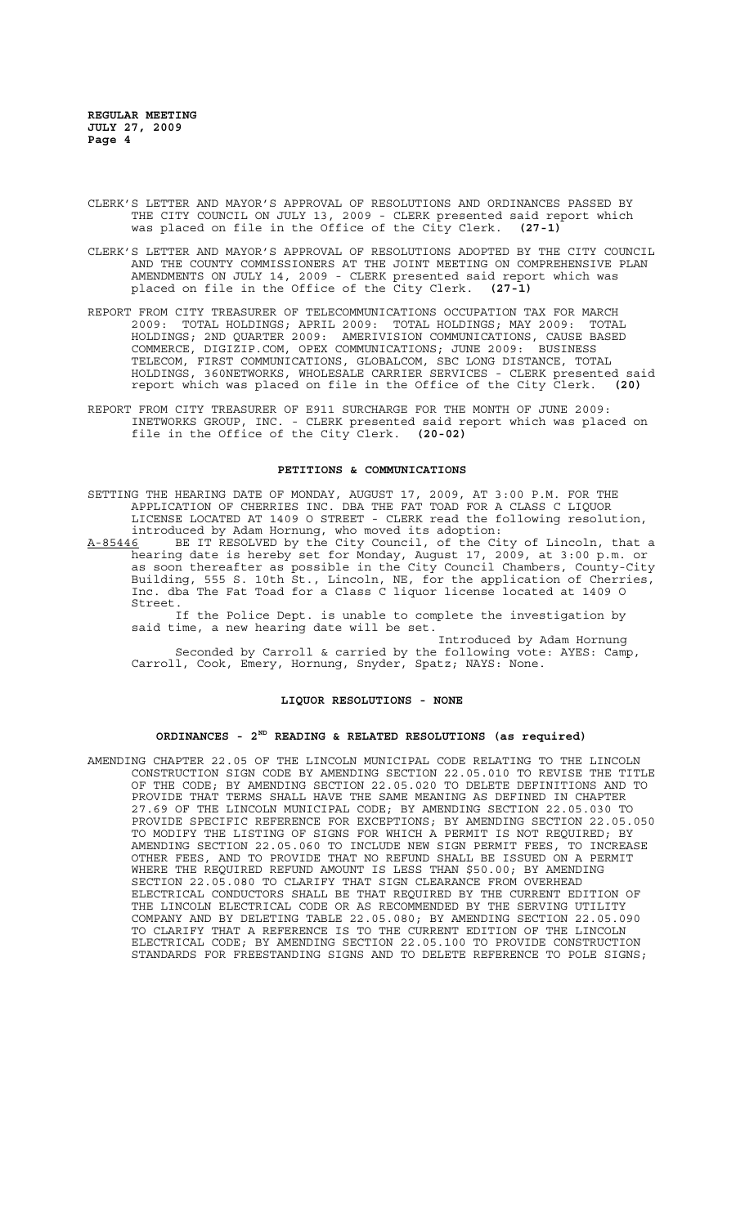- CLERK'S LETTER AND MAYOR'S APPROVAL OF RESOLUTIONS AND ORDINANCES PASSED BY THE CITY COUNCIL ON JULY 13, 2009 - CLERK presented said report which was placed on file in the Office of the City Clerk. **(27-1)**
- CLERK'S LETTER AND MAYOR'S APPROVAL OF RESOLUTIONS ADOPTED BY THE CITY COUNCIL AND THE COUNTY COMMISSIONERS AT THE JOINT MEETING ON COMPREHENSIVE PLAN AMENDMENTS ON JULY 14, 2009 - CLERK presented said report which was placed on file in the Office of the City Clerk. **(27-1)**
- REPORT FROM CITY TREASURER OF TELECOMMUNICATIONS OCCUPATION TAX FOR MARCH 2009: TOTAL HOLDINGS; APRIL 2009: TOTAL HOLDINGS; MAY 2009: TOTAL HOLDINGS; 2ND QUARTER 2009: AMERIVISION COMMUNICATIONS, CAUSE BASED COMMERCE, DIGIZIP.COM, OPEX COMMUNICATIONS; JUNE 2009: BUSINESS TELECOM, FIRST COMMUNICATIONS, GLOBALCOM, SBC LONG DISTANCE, TOTAL HOLDINGS, 360NETWORKS, WHOLESALE CARRIER SERVICES - CLERK presented said report which was placed on file in the Office of the City Clerk. **(20)**
- REPORT FROM CITY TREASURER OF E911 SURCHARGE FOR THE MONTH OF JUNE 2009: INETWORKS GROUP, INC. - CLERK presented said report which was placed on file in the Office of the City Clerk. **(20-02)**

## **PETITIONS & COMMUNICATIONS**

- SETTING THE HEARING DATE OF MONDAY, AUGUST 17, 2009, AT 3:00 P.M. FOR THE APPLICATION OF CHERRIES INC. DBA THE FAT TOAD FOR A CLASS C LIQUOR LICENSE LOCATED AT 1409 O STREET - CLERK read the following resolution, introduced by Adam Hornung, who moved its adoption:
- A-85446 BE IT RESOLVED by the City Council, of the City of Lincoln, that a A-85446 BE IT RESOLVED by the City Council, of the City of Lincoln, that a hearing date is hereby set for Monday, August 17, 2009, at 3:00 p.m. or as soon thereafter as possible in the City Council Chambers, County-City Building, 555 S. 10th St., Lincoln, NE, for the application of Cherries, Inc. dba The Fat Toad for a Class C liquor license located at 1409 O Street.

If the Police Dept. is unable to complete the investigation by said time, a new hearing date will be set.

Introduced by Adam Hornung Seconded by Carroll & carried by the following vote: AYES: Camp, Carroll, Cook, Emery, Hornung, Snyder, Spatz; NAYS: None.

## **LIQUOR RESOLUTIONS - NONE**

# **ORDINANCES - 2ND READING & RELATED RESOLUTIONS (as required)**

AMENDING CHAPTER 22.05 OF THE LINCOLN MUNICIPAL CODE RELATING TO THE LINCOLN CONSTRUCTION SIGN CODE BY AMENDING SECTION 22.05.010 TO REVISE THE TITLE OF THE CODE; BY AMENDING SECTION 22.05.020 TO DELETE DEFINITIONS AND TO PROVIDE THAT TERMS SHALL HAVE THE SAME MEANING AS DEFINED IN CHAPTER 27.69 OF THE LINCOLN MUNICIPAL CODE; BY AMENDING SECTION 22.05.030 TO PROVIDE SPECIFIC REFERENCE FOR EXCEPTIONS; BY AMENDING SECTION 22.05.050<br>TO MODIFY THE LISTING OF SIGNS FOR WHICH A PERMIT IS NOT REOUIRED: BY TO MODIFY THE LISTING OF SIGNS FOR WHICH A PERMIT IS NOT REQUIRED; BY<br>AMENDING SECTION 22.05.060 TO INCLUDE NEW SIGN PERMIT FEES, TO INCREASE AMENDING SECTION 22.05.060 TO INCLUDE NEW SIGN PERMIT FEES, TO INCREASE OTHER FEES, AND TO PROVIDE THAT NO REFUND SHALL BE ISSUED ON A PERMIT WHERE THE REQUIRED REFUND AMOUNT IS LESS THAN \$50.00; BY AMENDING SECTION 22.05.080 TO CLARIFY THAT SIGN CLEARANCE FROM OVERHEAD ELECTRICAL CONDUCTORS SHALL BE THAT REQUIRED BY THE CURRENT EDITION OF THE LINCOLN ELECTRICAL CODE OR AS RECOMMENDED BY THE SERVING UTILITY COMPANY AND BY DELETING TABLE 22.05.080; BY AMENDING SECTION 22.05.090 TO CLARIFY THAT A REFERENCE IS TO THE CURRENT EDITION OF THE LINCOLN ELECTRICAL CODE; BY AMENDING SECTION 22.05.100 TO PROVIDE CONSTRUCTION STANDARDS FOR FREESTANDING SIGNS AND TO DELETE REFERENCE TO POLE SIGNS;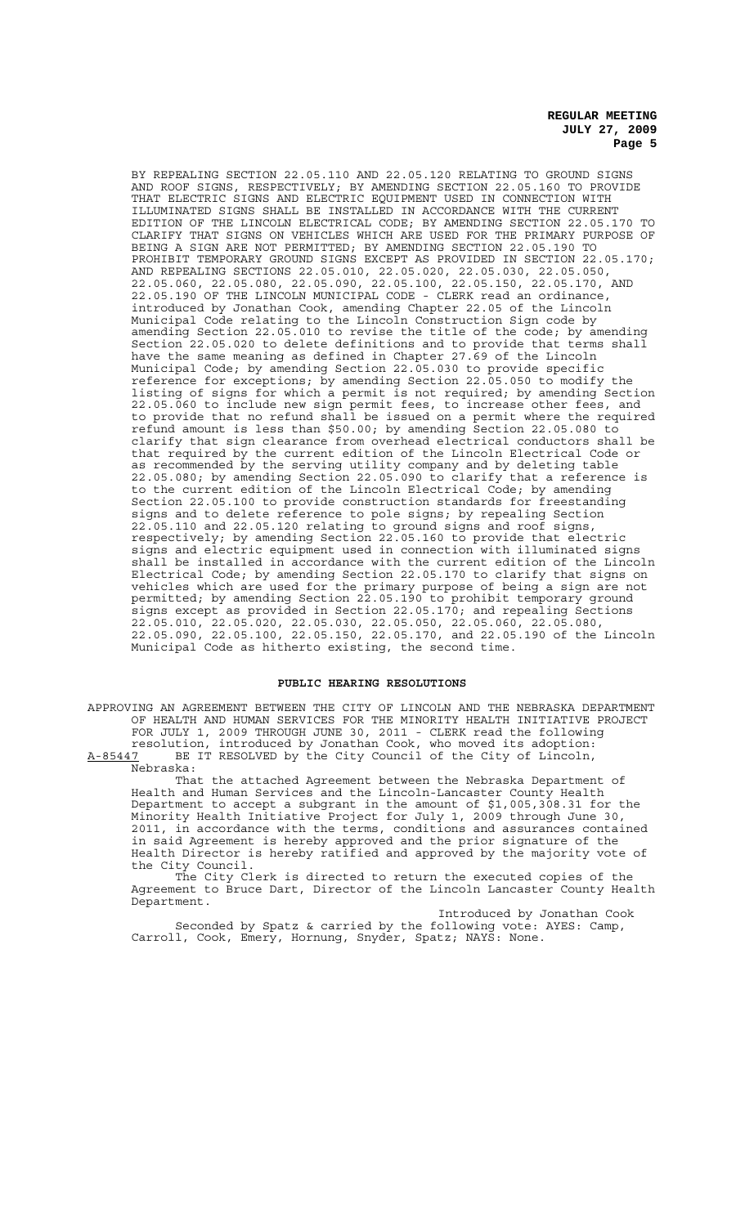BY REPEALING SECTION 22.05.110 AND 22.05.120 RELATING TO GROUND SIGNS AND ROOF SIGNS, RESPECTIVELY; BY AMENDING SECTION 22.05.160 TO PROVIDE THAT ELECTRIC SIGNS AND ELECTRIC EQUIPMENT USED IN CONNECTION WITH ILLUMINATED SIGNS SHALL BE INSTALLED IN ACCORDANCE WITH THE CURRENT EDITION OF THE LINCOLN ELECTRICAL CODE; BY AMENDING SECTION 22.05.170 TO CLARIFY THAT SIGNS ON VEHICLES WHICH ARE USED FOR THE PRIMARY PURPOSE OF BEING A SIGN ARE NOT PERMITTED; BY AMENDING SECTION 22.05.190 TO PROHIBIT TEMPORARY GROUND SIGNS EXCEPT AS PROVIDED IN SECTION 22.05.170; AND REPEALING SECTIONS 22.05.010, 22.05.020, 22.05.030, 22.05.050, 22.05.060, 22.05.080, 22.05.090, 22.05.100, 22.05.150, 22.05.170, AND 22.05.190 OF THE LINCOLN MUNICIPAL CODE - CLERK read an ordinance, introduced by Jonathan Cook, amending Chapter 22.05 of the Lincoln Municipal Code relating to the Lincoln Construction Sign code by amending Section 22.05.010 to revise the title of the code; by amending Section 22.05.020 to delete definitions and to provide that terms shall have the same meaning as defined in Chapter 27.69 of the Lincoln Municipal Code; by amending Section 22.05.030 to provide specific reference for exceptions; by amending Section 22.05.050 to modify the listing of signs for which a permit is not required; by amending Section 22.05.060 to include new sign permit fees, to increase other fees, and to provide that no refund shall be issued on a permit where the required refund amount is less than \$50.00; by amending Section 22.05.080 to clarify that sign clearance from overhead electrical conductors shall be that required by the current edition of the Lincoln Electrical Code or as recommended by the serving utility company and by deleting table 22.05.080; by amending Section 22.05.090 to clarify that a reference is to the current edition of the Lincoln Electrical Code; by amending Section 22.05.100 to provide construction standards for freestanding signs and to delete reference to pole signs; by repealing Section 22.05.110 and 22.05.120 relating to ground signs and roof signs, respectively; by amending Section 22.05.160 to provide that electric signs and electric equipment used in connection with illuminated signs shall be installed in accordance with the current edition of the Lincoln Electrical Code; by amending Section 22.05.170 to clarify that signs on vehicles which are used for the primary purpose of being a sign are not permitted; by amending Section 22.05.190 to prohibit temporary ground signs except as provided in Section 22.05.170; and repealing Sections 22.05.010, 22.05.020, 22.05.030, 22.05.050, 22.05.060, 22.05.080, 22.05.090, 22.05.100, 22.05.150, 22.05.170, and 22.05.190 of the Lincoln Municipal Code as hitherto existing, the second time.

# **PUBLIC HEARING RESOLUTIONS**

APPROVING AN AGREEMENT BETWEEN THE CITY OF LINCOLN AND THE NEBRASKA DEPARTMENT OF HEALTH AND HUMAN SERVICES FOR THE MINORITY HEALTH INITIATIVE PROJECT FOR JULY 1, 2009 THROUGH JUNE 30, 2011 - CLERK read the following resolution, introduced by Jonathan Cook, who moved its adoption:

A-85447 BE IT RESOLVED by the City Council of the City of Lincoln,  $A-85447$  BE<br>Nebraska:

That the attached Agreement between the Nebraska Department of Health and Human Services and the Lincoln-Lancaster County Health Department to accept a subgrant in the amount of \$1,005,308.31 for the Minority Health Initiative Project for July 1, 2009 through June 30, 2011, in accordance with the terms, conditions and assurances contained in said Agreement is hereby approved and the prior signature of the Health Director is hereby ratified and approved by the majority vote of the City Council.

The City Clerk is directed to return the executed copies of the Agreement to Bruce Dart, Director of the Lincoln Lancaster County Health Department.

Introduced by Jonathan Cook Seconded by Spatz & carried by the following vote: AYES: Camp, Carroll, Cook, Emery, Hornung, Snyder, Spatz; NAYS: None.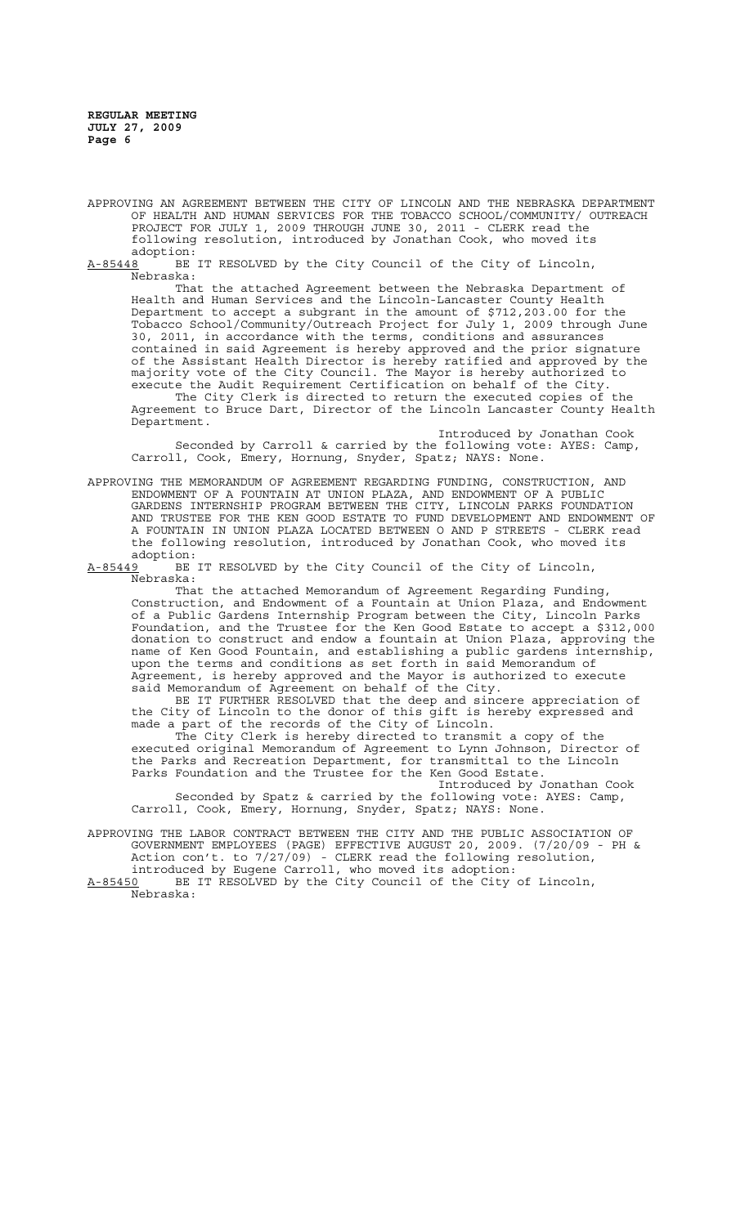APPROVING AN AGREEMENT BETWEEN THE CITY OF LINCOLN AND THE NEBRASKA DEPARTMENT OF HEALTH AND HUMAN SERVICES FOR THE TOBACCO SCHOOL/COMMUNITY/ OUTREACH PROJECT FOR JULY 1, 2009 THROUGH JUNE 30, 2011 - CLERK read the following resolution, introduced by Jonathan Cook, who moved its

:adoption<br>A-85448 BE BE IT RESOLVED by the City Council of the City of Lincoln, Nebraska:

That the attached Agreement between the Nebraska Department of Health and Human Services and the Lincoln-Lancaster County Health Department to accept a subgrant in the amount of \$712,203.00 for the Tobacco School/Community/Outreach Project for July 1, 2009 through June 30, 2011, in accordance with the terms, conditions and assurances contained in said Agreement is hereby approved and the prior signature of the Assistant Health Director is hereby ratified and approved by the majority vote of the City Council. The Mayor is hereby authorized to execute the Audit Requirement Certification on behalf of the City.

The City Clerk is directed to return the executed copies of the Agreement to Bruce Dart, Director of the Lincoln Lancaster County Health Department.

Introduced by Jonathan Cook Seconded by Carroll & carried by the following vote: AYES: Camp, Carroll, Cook, Emery, Hornung, Snyder, Spatz; NAYS: None.

APPROVING THE MEMORANDUM OF AGREEMENT REGARDING FUNDING, CONSTRUCTION, AND ENDOWMENT OF A FOUNTAIN AT UNION PLAZA, AND ENDOWMENT OF A PUBLIC GARDENS INTERNSHIP PROGRAM BETWEEN THE CITY, LINCOLN PARKS FOUNDATION AND TRUSTEE FOR THE KEN GOOD ESTATE TO FUND DEVELOPMENT AND ENDOWMENT OF A FOUNTAIN IN UNION PLAZA LOCATED BETWEEN O AND P STREETS - CLERK read the following resolution, introduced by Jonathan Cook, who moved its adoption:<br>A-85449 BE

BE IT RESOLVED by the City Council of the City of Lincoln, Nebraska:

That the attached Memorandum of Agreement Regarding Funding, Construction, and Endowment of a Fountain at Union Plaza, and Endowment of a Public Gardens Internship Program between the City, Lincoln Parks Foundation, and the Trustee for the Ken Good Estate to accept a \$312,000 donation to construct and endow a fountain at Union Plaza, approving the name of Ken Good Fountain, and establishing a public gardens internship, upon the terms and conditions as set forth in said Memorandum of Agreement, is hereby approved and the Mayor is authorized to execute said Memorandum of Agreement on behalf of the City.

BE IT FURTHER RESOLVED that the deep and sincere appreciation of the City of Lincoln to the donor of this gift is hereby expressed and made a part of the records of the City of Lincoln.

The City Clerk is hereby directed to transmit a copy of the executed original Memorandum of Agreement to Lynn Johnson, Director of the Parks and Recreation Department, for transmittal to the Lincoln Parks Foundation and the Trustee for the Ken Good Estate.

Introduced by Jonathan Cook Seconded by Spatz & carried by the following vote: AYES: Camp, Carroll, Cook, Emery, Hornung, Snyder, Spatz; NAYS: None.

APPROVING THE LABOR CONTRACT BETWEEN THE CITY AND THE PUBLIC ASSOCIATION OF GOVERNMENT EMPLOYEES (PAGE) EFFECTIVE AUGUST 20, 2009. (7/20/09 - PH & Action con't. to 7/27/09) - CLERK read the following resolution, introduced by Eugene Carroll, who moved its adoption:

A-85450 BE IT RESOLVED by the City Council of the City of Lincoln, Nebraska: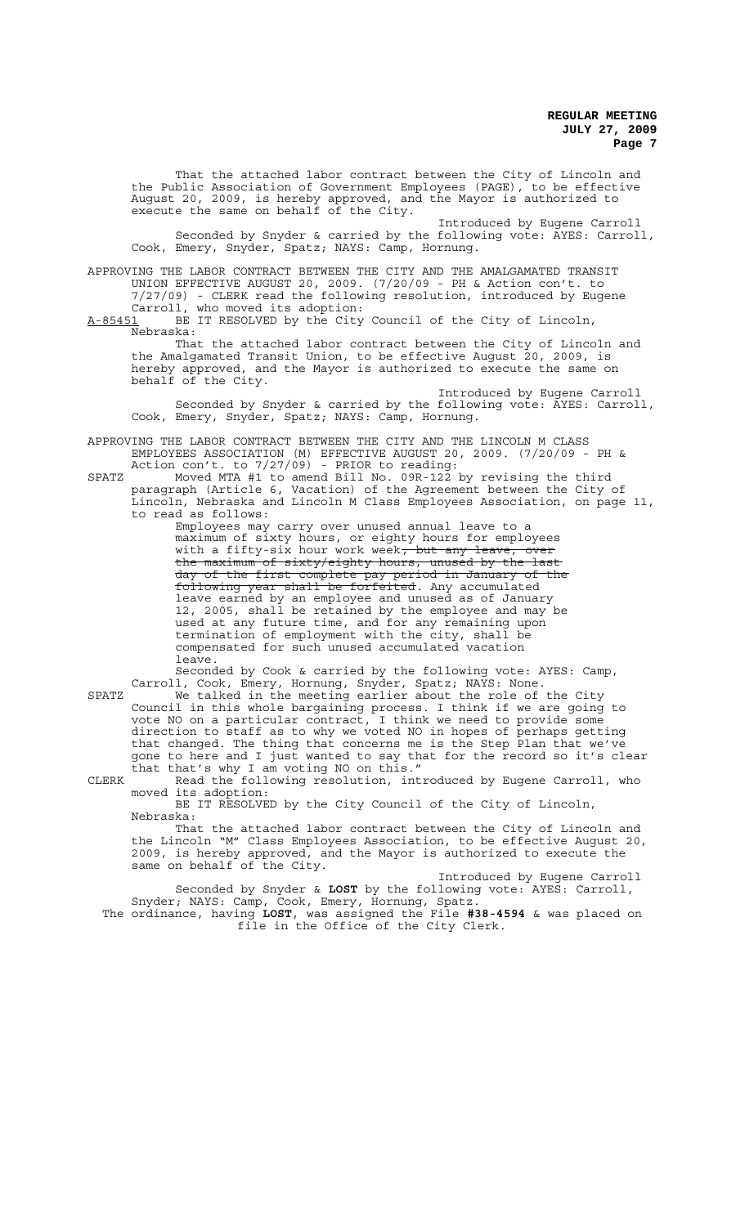That the attached labor contract between the City of Lincoln and the Public Association of Government Employees (PAGE), to be effective August 20, 2009, is hereby approved, and the Mayor is authorized to execute the same on behalf of the City.

Introduced by Eugene Carroll Seconded by Snyder & carried by the following vote: AYES: Carroll, Cook, Emery, Snyder, Spatz; NAYS: Camp, Hornung.

APPROVING THE LABOR CONTRACT BETWEEN THE CITY AND THE AMALGAMATED TRANSIT UNION EFFECTIVE AUGUST 20, 2009. (7/20/09 - PH & Action con't. to 7/27/09) - CLERK read the following resolution, introduced by Eugene Carroll, who moved its adoption:

A-85451 BE IT RESOLVED by the City Council of the City of Lincoln, Nebraska:

That the attached labor contract between the City of Lincoln and the Amalgamated Transit Union, to be effective August 20, 2009, is hereby approved, and the Mayor is authorized to execute the same on behalf of the City.

Introduced by Eugene Carroll Seconded by Snyder & carried by the following vote: AYES: Carroll, Cook, Emery, Snyder, Spatz; NAYS: Camp, Hornung.

APPROVING THE LABOR CONTRACT BETWEEN THE CITY AND THE LINCOLN M CLASS EMPLOYEES ASSOCIATION (M) EFFECTIVE AUGUST 20, 2009. (7/20/09 - PH & Action con't. to 7/27/09) - PRIOR to reading:

SPATZ Moved MTA #1 to amend Bill No. 09R-122 by revising the third paragraph (Article 6, Vacation) of the Agreement between the City of Lincoln, Nebraska and Lincoln M Class Employees Association, on page 11, to read as follows:

Employees may carry over unused annual leave to a maximum of sixty hours, or eighty hours for employees with a fifty-six hour work week<del>, but any leave, over</del> the maximum of sixty/eighty hours, unused by the last day of the first complete pay period in January of the following year shall be forfeited. Any accumulated leave earned by an employee and unused as of January 12, 2005, shall be retained by the employee and may be used at any future time, and for any remaining upon termination of employment with the city, shall be compensated for such unused accumulated vacation leave.

Seconded by Cook & carried by the following vote: AYES: Camp, Carroll, Cook, Emery, Hornung, Snyder, Spatz; NAYS: None.

SPATZ We talked in the meeting earlier about the role of the City Council in this whole bargaining process. I think if we are going to vote NO on a particular contract, I think we need to provide some direction to staff as to why we voted NO in hopes of perhaps getting that changed. The thing that concerns me is the Step Plan that we've gone to here and I just wanted to say that for the record so it's clear that that's why I am voting NO on this."

CLERK Read the following resolution, introduced by Eugene Carroll, who moved its adoption:

BE IT RESOLVED by the City Council of the City of Lincoln, Nebraska:

That the attached labor contract between the City of Lincoln and the Lincoln "M" Class Employees Association, to be effective August 20, 2009, is hereby approved, and the Mayor is authorized to execute the same on behalf of the City.

Introduced by Eugene Carroll Seconded by Snyder & **LOST** by the following vote: AYES: Carroll, Snyder; NAYS: Camp, Cook, Emery, Hornung, Spatz.

The ordinance, having **LOST**, was assigned the File **#38-4594** & was placed on file in the Office of the City Clerk.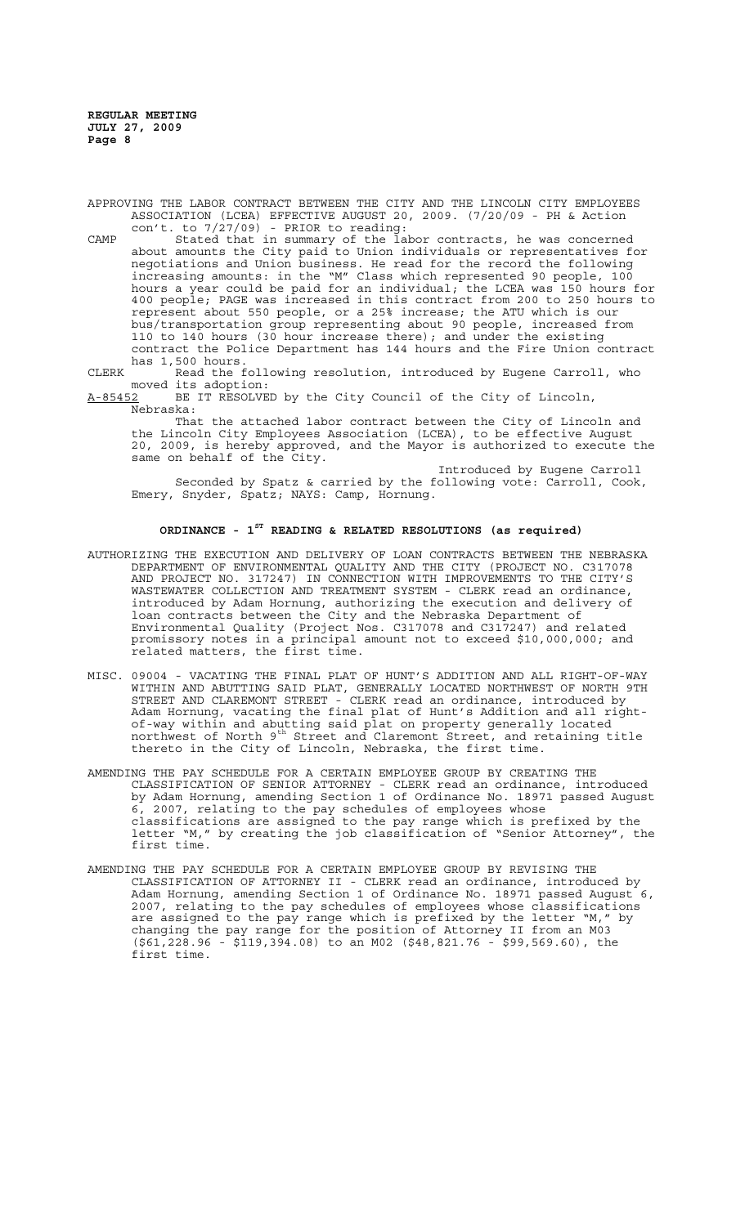APPROVING THE LABOR CONTRACT BETWEEN THE CITY AND THE LINCOLN CITY EMPLOYEES ASSOCIATION (LCEA) EFFECTIVE AUGUST 20, 2009. (7/20/09 - PH & Action con't. to 7/27/09) - PRIOR to reading:

- CAMP Stated that in summary of the labor contracts, he was concerned about amounts the City paid to Union individuals or representatives for negotiations and Union business. He read for the record the following increasing amounts: in the "M" Class which represented 90 people, 100 hours a year could be paid for an individual; the LCEA was 150 hours for 400 people; PAGE was increased in this contract from 200 to 250 hours to represent about 550 people, or a 25% increase; the ATU which is our bus/transportation group representing about 90 people, increased from 110 to 140 hours (30 hour increase there); and under the existing contract the Police Department has 144 hours and the Fire Union contract has 1,500 hours.
- CLERK Read the following resolution, introduced by Eugene Carroll, who moved its adoption:

A-85452 BE IT RESOLVED by the City Council of the City of Lincoln, Nebraska:

That the attached labor contract between the City of Lincoln and the Lincoln City Employees Association (LCEA), to be effective August 20, 2009, is hereby approved, and the Mayor is authorized to execute the same on behalf of the City.

Introduced by Eugene Carroll Seconded by Spatz & carried by the following vote: Carroll, Cook, Emery, Snyder, Spatz; NAYS: Camp, Hornung.

# **ORDINANCE - 1ST READING & RELATED RESOLUTIONS (as required)**

- AUTHORIZING THE EXECUTION AND DELIVERY OF LOAN CONTRACTS BETWEEN THE NEBRASKA DEPARTMENT OF ENVIRONMENTAL QUALITY AND THE CITY (PROJECT NO. C317078 AND PROJECT NO. 317247) IN CONNECTION WITH IMPROVEMENTS TO THE CITY'S WASTEWATER COLLECTION AND TREATMENT SYSTEM - CLERK read an ordinance, introduced by Adam Hornung, authorizing the execution and delivery of loan contracts between the City and the Nebraska Department of Environmental Quality (Project Nos. C317078 and C317247) and related promissory notes in a principal amount not to exceed \$10,000,000; and related matters, the first time.
- MISC. 09004 VACATING THE FINAL PLAT OF HUNT'S ADDITION AND ALL RIGHT-OF-WAY WITHIN AND ABUTTING SAID PLAT, GENERALLY LOCATED NORTHWEST OF NORTH 9TH STREET AND CLAREMONT STREET - CLERK read an ordinance, introduced by Adam Hornung, vacating the final plat of Hunt's Addition and all rightof-way within and abutting said plat on property generally located northwest of North 9th Street and Claremont Street, and retaining title thereto in the City of Lincoln, Nebraska, the first time.
- AMENDING THE PAY SCHEDULE FOR A CERTAIN EMPLOYEE GROUP BY CREATING THE CLASSIFICATION OF SENIOR ATTORNEY - CLERK read an ordinance, introduced by Adam Hornung, amending Section 1 of Ordinance No. 18971 passed August 6, 2007, relating to the pay schedules of employees whose classifications are assigned to the pay range which is prefixed by the letter "M," by creating the job classification of "Senior Attorney", the first time.
- AMENDING THE PAY SCHEDULE FOR A CERTAIN EMPLOYEE GROUP BY REVISING THE CLASSIFICATION OF ATTORNEY II - CLERK read an ordinance, introduced by Adam Hornung, amending Section 1 of Ordinance No. 18971 passed August 6, 2007, relating to the pay schedules of employees whose classifications are assigned to the pay range which is prefixed by the letter "M," by changing the pay range for the position of Attorney II from an M03 (\$61,228.96 - \$119,394.08) to an M02 (\$48,821.76 - \$99,569.60), the first time.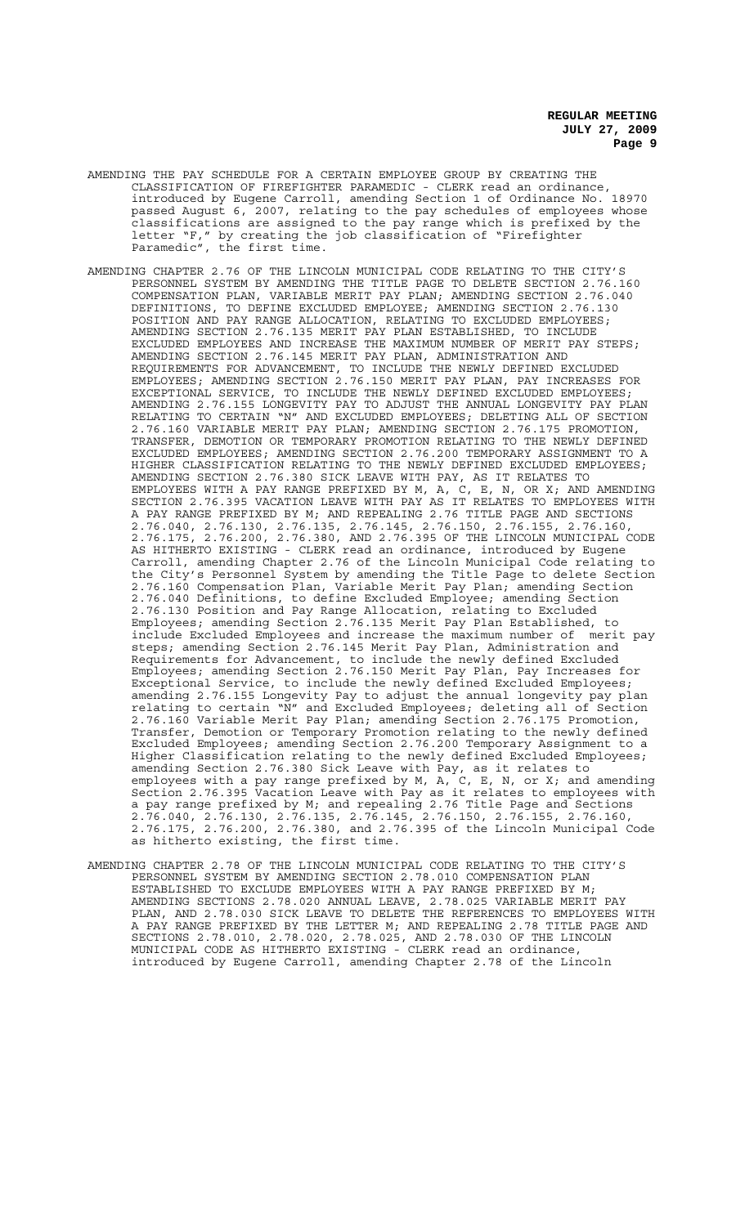- AMENDING THE PAY SCHEDULE FOR A CERTAIN EMPLOYEE GROUP BY CREATING THE CLASSIFICATION OF FIREFIGHTER PARAMEDIC - CLERK read an ordinance, introduced by Eugene Carroll, amending Section 1 of Ordinance No. 18970 passed August 6, 2007, relating to the pay schedules of employees whose classifications are assigned to the pay range which is prefixed by the letter "F," by creating the job classification of "Firefighter Paramedic", the first time.
- AMENDING CHAPTER 2.76 OF THE LINCOLN MUNICIPAL CODE RELATING TO THE CITY'S PERSONNEL SYSTEM BY AMENDING THE TITLE PAGE TO DELETE SECTION 2.76.160 COMPENSATION PLAN, VARIABLE MERIT PAY PLAN; AMENDING SECTION 2.76.040 DEFINITIONS, TO DEFINE EXCLUDED EMPLOYEE; AMENDING SECTION 2.76.130 POSITION AND PAY RANGE ALLOCATION, RELATING TO EXCLUDED EMPLOYEES; AMENDING SECTION 2.76.135 MERIT PAY PLAN ESTABLISHED, TO INCLUDE EXCLUDED EMPLOYEES AND INCREASE THE MAXIMUM NUMBER OF MERIT PAY STEPS; AMENDING SECTION 2.76.145 MERIT PAY PLAN, ADMINISTRATION AND REQUIREMENTS FOR ADVANCEMENT, TO INCLUDE THE NEWLY DEFINED EXCLUDED EMPLOYEES; AMENDING SECTION 2.76.150 MERIT PAY PLAN, PAY INCREASES FOR EXCEPTIONAL SERVICE, TO INCLUDE THE NEWLY DEFINED EXCLUDED EMPLOYEES; AMENDING 2.76.155 LONGEVITY PAY TO ADJUST THE ANNUAL LONGEVITY PAY PLAN RELATING TO CERTAIN "N" AND EXCLUDED EMPLOYEES; DELETING ALL OF SECTION 2.76.160 VARIABLE MERIT PAY PLAN; AMENDING SECTION 2.76.175 PROMOTION, TRANSFER, DEMOTION OR TEMPORARY PROMOTION RELATING TO THE NEWLY DEFINED EXCLUDED EMPLOYEES; AMENDING SECTION 2.76.200 TEMPORARY ASSIGNMENT TO A HIGHER CLASSIFICATION RELATING TO THE NEWLY DEFINED EXCLUDED EMPLOYEES; AMENDING SECTION 2.76.380 SICK LEAVE WITH PAY, AS IT RELATES TO EMPLOYEES WITH A PAY RANGE PREFIXED BY M, A, C, E, N, OR X; AND AMENDING SECTION 2.76.395 VACATION LEAVE WITH PAY AS IT RELATES TO EMPLOYEES WITH A PAY RANGE PREFIXED BY M; AND REPEALING 2.76 TITLE PAGE AND SECTIONS 2.76.040, 2.76.130, 2.76.135, 2.76.145, 2.76.150, 2.76.155, 2.76.160, 2.76.175, 2.76.200, 2.76.380, AND 2.76.395 OF THE LINCOLN MUNICIPAL CODE AS HITHERTO EXISTING - CLERK read an ordinance, introduced by Eugene Carroll, amending Chapter 2.76 of the Lincoln Municipal Code relating to the City's Personnel System by amending the Title Page to delete Section 2.76.160 Compensation Plan, Variable Merit Pay Plan; amending Section 2.76.040 Definitions, to define Excluded Employee; amending Section 2.76.130 Position and Pay Range Allocation, relating to Excluded Employees; amending Section 2.76.135 Merit Pay Plan Established, to include Excluded Employees and increase the maximum number of merit pay steps; amending Section 2.76.145 Merit Pay Plan, Administration and Requirements for Advancement, to include the newly defined Excluded Employees; amending Section 2.76.150 Merit Pay Plan, Pay Increases for Exceptional Service, to include the newly defined Excluded Employees; amending 2.76.155 Longevity Pay to adjust the annual longevity pay plan relating to certain "N" and Excluded Employees; deleting all of Section 2.76.160 Variable Merit Pay Plan; amending Section 2.76.175 Promotion, Transfer, Demotion or Temporary Promotion relating to the newly defined Excluded Employees; amending Section 2.76.200 Temporary Assignment to a Higher Classification relating to the newly defined Excluded Employees; amending Section 2.76.380 Sick Leave with Pay, as it relates to employees with a pay range prefixed by M, A, C, E, N, or X; and amending Section 2.76.395 Vacation Leave with Pay as it relates to employees with a pay range prefixed by M; and repealing 2.76 Title Page and Sections 2.76.040, 2.76.130, 2.76.135, 2.76.145, 2.76.150, 2.76.155, 2.76.160, 2.76.175, 2.76.200, 2.76.380, and 2.76.395 of the Lincoln Municipal Code as hitherto existing, the first time.
- AMENDING CHAPTER 2.78 OF THE LINCOLN MUNICIPAL CODE RELATING TO THE CITY'S PERSONNEL SYSTEM BY AMENDING SECTION 2.78.010 COMPENSATION PLAN ESTABLISHED TO EXCLUDE EMPLOYEES WITH A PAY RANGE PREFIXED BY M; AMENDING SECTIONS 2.78.020 ANNUAL LEAVE, 2.78.025 VARIABLE MERIT PAY PLAN, AND 2.78.030 SICK LEAVE TO DELETE THE REFERENCES TO EMPLOYEES WITH A PAY RANGE PREFIXED BY THE LETTER M; AND REPEALING 2.78 TITLE PAGE AND SECTIONS 2.78.010, 2.78.020, 2.78.025, AND 2.78.030 OF THE LINCOLN MUNICIPAL CODE AS HITHERTO EXISTING - CLERK read an ordinance, introduced by Eugene Carroll, amending Chapter 2.78 of the Lincoln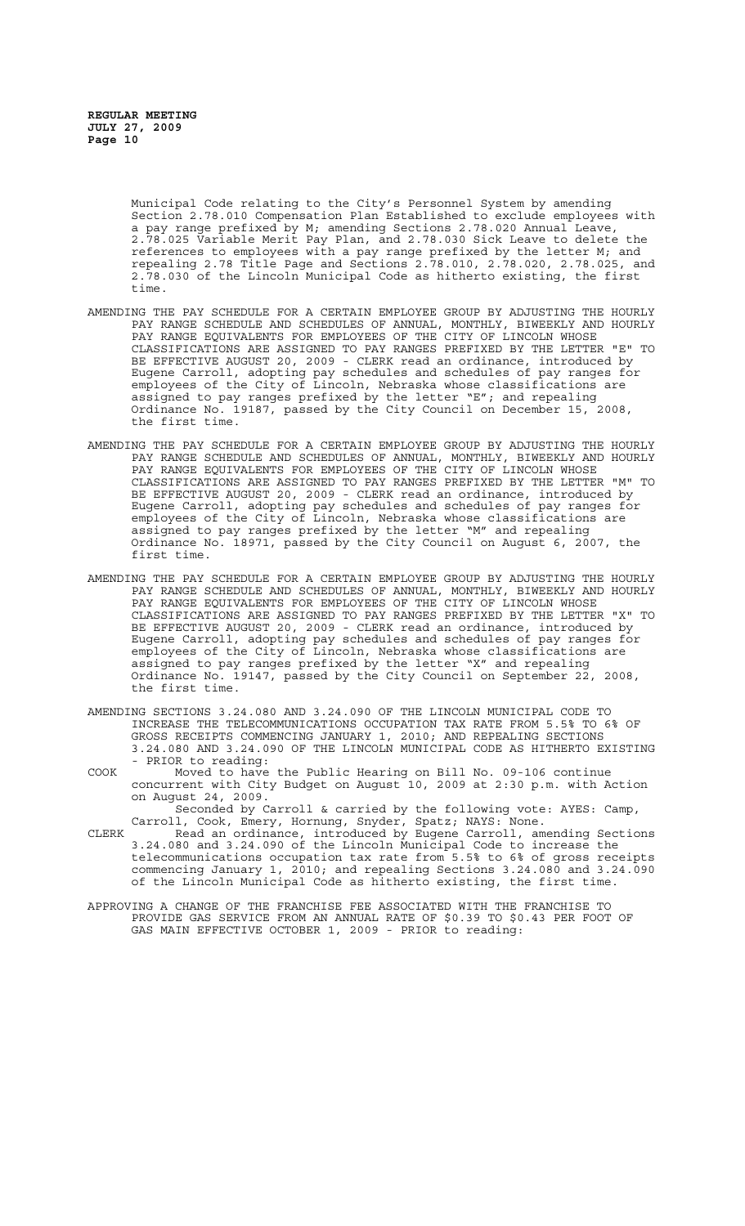Municipal Code relating to the City's Personnel System by amending Section 2.78.010 Compensation Plan Established to exclude employees with a pay range prefixed by M; amending Sections 2.78.020 Annual Leave, 2.78.025 Variable Merit Pay Plan, and 2.78.030 Sick Leave to delete the references to employees with a pay range prefixed by the letter M; and repealing 2.78 Title Page and Sections 2.78.010, 2.78.020, 2.78.025, and 2.78.030 of the Lincoln Municipal Code as hitherto existing, the first time.

- AMENDING THE PAY SCHEDULE FOR A CERTAIN EMPLOYEE GROUP BY ADJUSTING THE HOURLY PAY RANGE SCHEDULE AND SCHEDULES OF ANNUAL, MONTHLY, BIWEEKLY AND HOURLY PAY RANGE EQUIVALENTS FOR EMPLOYEES OF THE CITY OF LINCOLN WHOSE CLASSIFICATIONS ARE ASSIGNED TO PAY RANGES PREFIXED BY THE LETTER "E" TO BE EFFECTIVE AUGUST 20, 2009 - CLERK read an ordinance, introduced by Eugene Carroll, adopting pay schedules and schedules of pay ranges for employees of the City of Lincoln, Nebraska whose classifications are assigned to pay ranges prefixed by the letter "E"; and repealing Ordinance No. 19187, passed by the City Council on December 15, 2008, the first time.
- AMENDING THE PAY SCHEDULE FOR A CERTAIN EMPLOYEE GROUP BY ADJUSTING THE HOURLY PAY RANGE SCHEDULE AND SCHEDULES OF ANNUAL, MONTHLY, BIWEEKLY AND HOURLY PAY RANGE EQUIVALENTS FOR EMPLOYEES OF THE CITY OF LINCOLN WHOSE CLASSIFICATIONS ARE ASSIGNED TO PAY RANGES PREFIXED BY THE LETTER "M" TO BE EFFECTIVE AUGUST 20, 2009 - CLERK read an ordinance, introduced by Eugene Carroll, adopting pay schedules and schedules of pay ranges for employees of the City of Lincoln, Nebraska whose classifications are assigned to pay ranges prefixed by the letter "M" and repealing Ordinance No. 18971, passed by the City Council on August 6, 2007, the first time.
- AMENDING THE PAY SCHEDULE FOR A CERTAIN EMPLOYEE GROUP BY ADJUSTING THE HOURLY PAY RANGE SCHEDULE AND SCHEDULES OF ANNUAL, MONTHLY, BIWEEKLY AND HOURLY PAY RANGE EQUIVALENTS FOR EMPLOYEES OF THE CITY OF LINCOLN WHOSE CLASSIFICATIONS ARE ASSIGNED TO PAY RANGES PREFIXED BY THE LETTER "X" TO BE EFFECTIVE AUGUST 20, 2009 - CLERK read an ordinance, introduced by Eugene Carroll, adopting pay schedules and schedules of pay ranges for employees of the City of Lincoln, Nebraska whose classifications are assigned to pay ranges prefixed by the letter "X" and repealing Ordinance No. 19147, passed by the City Council on September 22, 2008, the first time.
- AMENDING SECTIONS 3.24.080 AND 3.24.090 OF THE LINCOLN MUNICIPAL CODE TO INCREASE THE TELECOMMUNICATIONS OCCUPATION TAX RATE FROM 5.5% TO 6% OF GROSS RECEIPTS COMMENCING JANUARY 1, 2010; AND REPEALING SECTIONS 3.24.080 AND 3.24.090 OF THE LINCOLN MUNICIPAL CODE AS HITHERTO EXISTING - PRIOR to reading:
- COOK Moved to have the Public Hearing on Bill No. 09-106 continue concurrent with City Budget on August 10, 2009 at 2:30 p.m. with Action on August 24, 2009.

Seconded by Carroll & carried by the following vote: AYES: Camp, Carroll, Cook, Emery, Hornung, Snyder, Spatz; NAYS: None.

- CLERK Read an ordinance, introduced by Eugene Carroll, amending Sections 3.24.080 and 3.24.090 of the Lincoln Municipal Code to increase the telecommunications occupation tax rate from 5.5% to 6% of gross receipts commencing January 1, 2010; and repealing Sections 3.24.080 and 3.24.090 of the Lincoln Municipal Code as hitherto existing, the first time.
- APPROVING A CHANGE OF THE FRANCHISE FEE ASSOCIATED WITH THE FRANCHISE TO PROVIDE GAS SERVICE FROM AN ANNUAL RATE OF \$0.39 TO \$0.43 PER FOOT OF GAS MAIN EFFECTIVE OCTOBER 1, 2009 - PRIOR to reading: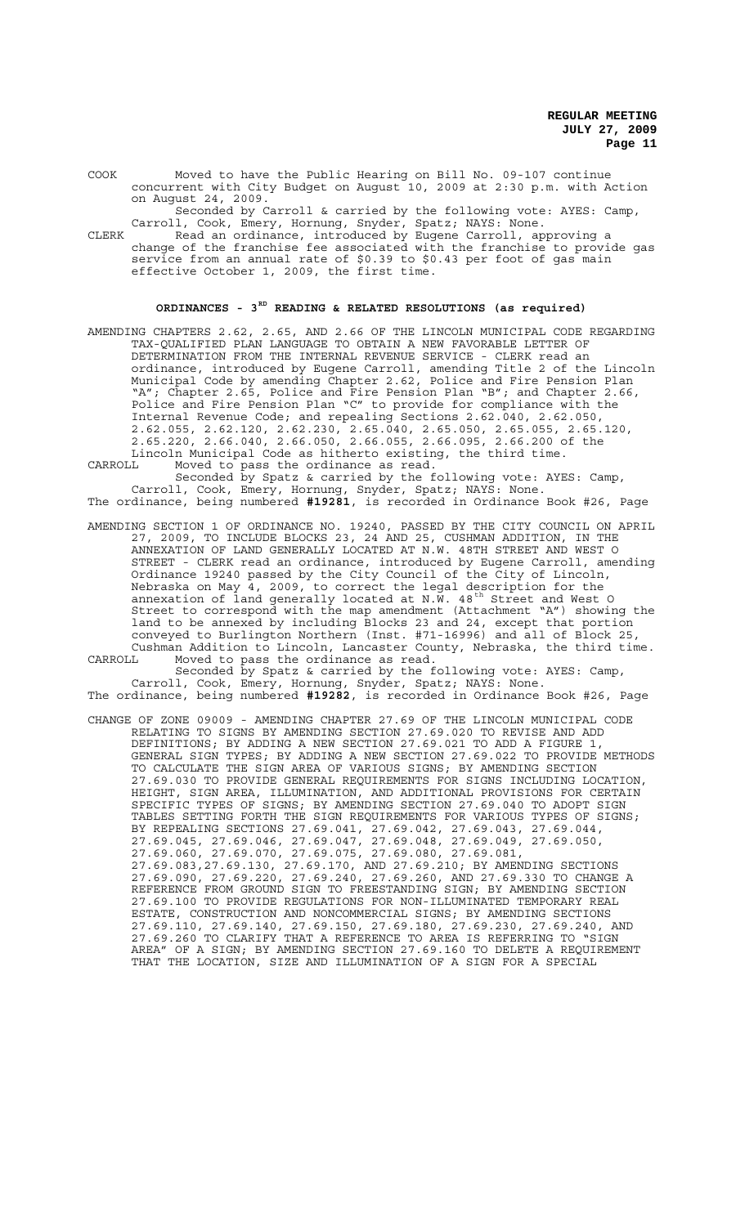COOK Moved to have the Public Hearing on Bill No. 09-107 continue concurrent with City Budget on August 10, 2009 at 2:30 p.m. with Action on August 24, 2009.

Seconded by Carroll & carried by the following vote: AYES: Camp, Carroll, Cook, Emery, Hornung, Snyder, Spatz; NAYS: None.

CLERK Read an ordinance, introduced by Eugene Carroll, approving a change of the franchise fee associated with the franchise to provide gas service from an annual rate of \$0.39 to \$0.43 per foot of gas main effective October 1, 2009, the first time.

# **ORDINANCES - 3RD READING & RELATED RESOLUTIONS (as required)**

AMENDING CHAPTERS 2.62, 2.65, AND 2.66 OF THE LINCOLN MUNICIPAL CODE REGARDING TAX-QUALIFIED PLAN LANGUAGE TO OBTAIN A NEW FAVORABLE LETTER OF DETERMINATION FROM THE INTERNAL REVENUE SERVICE - CLERK read an ordinance, introduced by Eugene Carroll, amending Title 2 of the Lincoln Municipal Code by amending Chapter 2.62, Police and Fire Pension Plan "A"; Chapter 2.65, Police and Fire Pension Plan "B"; and Chapter 2.66, Police and Fire Pension Plan "C" to provide for compliance with the Internal Revenue Code; and repealing Sections 2.62.040, 2.62.050, 2.62.055, 2.62.120, 2.62.230, 2.65.040, 2.65.050, 2.65.055, 2.65.120, 2.65.220, 2.66.040, 2.66.050, 2.66.055, 2.66.095, 2.66.200 of the Lincoln Municipal Code as hitherto existing, the third time. CARROLL Moved to pass the ordinance as read.

Seconded by Spatz & carried by the following vote: AYES: Camp, Carroll, Cook, Emery, Hornung, Snyder, Spatz; NAYS: None.

The ordinance, being numbered **#19281**, is recorded in Ordinance Book #26, Page

- AMENDING SECTION 1 OF ORDINANCE NO. 19240, PASSED BY THE CITY COUNCIL ON APRIL 27, 2009, TO INCLUDE BLOCKS 23, 24 AND 25, CUSHMAN ADDITION, IN THE ANNEXATION OF LAND GENERALLY LOCATED AT N.W. 48TH STREET AND WEST O STREET - CLERK read an ordinance, introduced by Eugene Carroll, amending Ordinance 19240 passed by the City Council of the City of Lincoln, Nebraska on May 4, 2009, to correct the legal description for the annexation of land generally located at N.W. 48<sup>th</sup> Street and West O Street to correspond with the map amendment (Attachment "A") showing the land to be annexed by including Blocks 23 and 24, except that portion conveyed to Burlington Northern (Inst. #71-16996) and all of Block 25, Cushman Addition to Lincoln, Lancaster County, Nebraska, the third time.
- CARROLL Moved to pass the ordinance as read. Seconded by Spatz & carried by the following vote: AYES: Camp,

Carroll, Cook, Emery, Hornung, Snyder, Spatz; NAYS: None. The ordinance, being numbered **#19282**, is recorded in Ordinance Book #26, Page

CHANGE OF ZONE 09009 - AMENDING CHAPTER 27.69 OF THE LINCOLN MUNICIPAL CODE RELATING TO SIGNS BY AMENDING SECTION 27.69.020 TO REVISE AND ADD DEFINITIONS; BY ADDING A NEW SECTION 27.69.021 TO ADD A FIGURE 1, GENERAL SIGN TYPES; BY ADDING A NEW SECTION 27.69.022 TO PROVIDE METHODS TO CALCULATE THE SIGN AREA OF VARIOUS SIGNS; BY AMENDING SECTION 27.69.030 TO PROVIDE GENERAL REQUIREMENTS FOR SIGNS INCLUDING LOCATION, HEIGHT, SIGN AREA, ILLUMINATION, AND ADDITIONAL PROVISIONS FOR CERTAIN SPECIFIC TYPES OF SIGNS; BY AMENDING SECTION 27.69.040 TO ADOPT SIGN TABLES SETTING FORTH THE SIGN REQUIREMENTS FOR VARIOUS TYPES OF SIGNS; BY REPEALING SECTIONS 27.69.041, 27.69.042, 27.69.043, 27.69.044, 27.69.045, 27.69.046, 27.69.047, 27.69.048, 27.69.049, 27.69.050, 27.69.060, 27.69.070, 27.69.075, 27.69.080, 27.69.081, 27.69.083,27.69.130, 27.69.170, AND 27.69.210; BY AMENDING SECTIONS 27.69.090, 27.69.220, 27.69.240, 27.69.260, AND 27.69.330 TO CHANGE A REFERENCE FROM GROUND SIGN TO FREESTANDING SIGN; BY AMENDING SECTION 27.69.100 TO PROVIDE REGULATIONS FOR NON-ILLUMINATED TEMPORARY REAL ESTATE, CONSTRUCTION AND NONCOMMERCIAL SIGNS; BY AMENDING SECTIONS 27.69.110, 27.69.140, 27.69.150, 27.69.180, 27.69.230, 27.69.240, AND 27.69.260 TO CLARIFY THAT A REFERENCE TO AREA IS REFERRING TO "SIGN AREA" OF A SIGN; BY AMENDING SECTION 27.69.160 TO DELETE A REQUIREMENT THAT THE LOCATION, SIZE AND ILLUMINATION OF A SIGN FOR A SPECIAL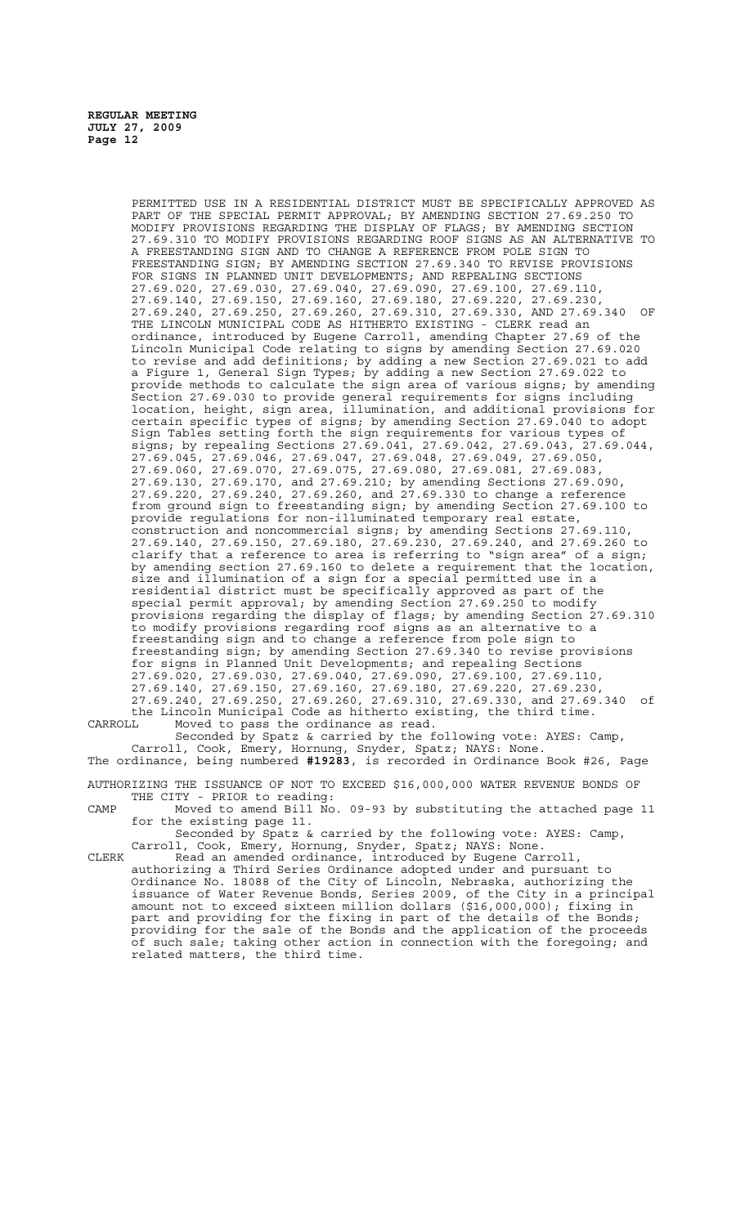> PERMITTED USE IN A RESIDENTIAL DISTRICT MUST BE SPECIFICALLY APPROVED AS PART OF THE SPECIAL PERMIT APPROVAL; BY AMENDING SECTION 27.69.250 TO MODIFY PROVISIONS REGARDING THE DISPLAY OF FLAGS; BY AMENDING SECTION 27.69.310 TO MODIFY PROVISIONS REGARDING ROOF SIGNS AS AN ALTERNATIVE TO A FREESTANDING SIGN AND TO CHANGE A REFERENCE FROM POLE SIGN TO FREESTANDING SIGN; BY AMENDING SECTION 27.69.340 TO REVISE PROVISIONS FOR SIGNS IN PLANNED UNIT DEVELOPMENTS; AND REPEALING SECTIONS 27.69.020, 27.69.030, 27.69.040, 27.69.090, 27.69.100, 27.69.110, 27.69.140, 27.69.150, 27.69.160, 27.69.180, 27.69.220, 27.69.230, 27.69.240, 27.69.250, 27.69.260, 27.69.310, 27.69.330, AND 27.69.340 OF THE LINCOLN MUNICIPAL CODE AS HITHERTO EXISTING - CLERK read an ordinance, introduced by Eugene Carroll, amending Chapter 27.69 of the Lincoln Municipal Code relating to signs by amending Section 27.69.020 to revise and add definitions; by adding a new Section 27.69.021 to add a Figure 1, General Sign Types; by adding a new Section 27.69.022 to provide methods to calculate the sign area of various signs; by amending Section 27.69.030 to provide general requirements for signs including location, height, sign area, illumination, and additional provisions for certain specific types of signs; by amending Section 27.69.040 to adopt Sign Tables setting forth the sign requirements for various types of signs; by repealing Sections 27.69.041, 27.69.042, 27.69.043, 27.69.044, 27.69.045, 27.69.046, 27.69.047, 27.69.048, 27.69.049, 27.69.050, 27.69.060, 27.69.070, 27.69.075, 27.69.080, 27.69.081, 27.69.083, 27.69.130, 27.69.170, and 27.69.210; by amending Sections 27.69.090, 27.69.220, 27.69.240, 27.69.260, and 27.69.330 to change a reference from ground sign to freestanding sign; by amending Section 27.69.100 to provide regulations for non-illuminated temporary real estate, construction and noncommercial signs; by amending Sections 27.69.110, 27.69.140, 27.69.150, 27.69.180, 27.69.230, 27.69.240, and 27.69.260 to clarify that a reference to area is referring to "sign area" of a sign; by amending section 27.69.160 to delete a requirement that the location, size and illumination of a sign for a special permitted use in a residential district must be specifically approved as part of the special permit approval; by amending Section 27.69.250 to modify provisions regarding the display of flags; by amending Section 27.69.310 to modify provisions regarding roof signs as an alternative to a freestanding sign and to change a reference from pole sign to freestanding sign; by amending Section 27.69.340 to revise provisions for signs in Planned Unit Developments; and repealing Sections 27.69.020, 27.69.030, 27.69.040, 27.69.090, 27.69.100, 27.69.110, 27.69.140, 27.69.150, 27.69.160, 27.69.180, 27.69.220, 27.69.230, 27.69.240, 27.69.250, 27.69.260, 27.69.310, 27.69.330, and 27.69.340 of the Lincoln Municipal Code as hitherto existing, the third time.

CARROLL Moved to pass the ordinance as read. Seconded by Spatz & carried by the following vote: AYES: Camp,

Carroll, Cook, Emery, Hornung, Snyder, Spatz; NAYS: None. The ordinance, being numbered **#19283**, is recorded in Ordinance Book #26, Page

AUTHORIZING THE ISSUANCE OF NOT TO EXCEED \$16,000,000 WATER REVENUE BONDS OF THE CITY - PRIOR to reading:

CAMP Moved to amend Bill No. 09-93 by substituting the attached page 11 for the existing page 11.

Seconded by Spatz & carried by the following vote: AYES: Camp,<br>Carroll, Cook, Emery, Hornung, Snyder, Spatz: NAYS: None. Cook, Emery, Hornung, Snyder, Spatz; NAYS: None.

CLERK Read an amended ordinance, introduced by Eugene Carroll, authorizing a Third Series Ordinance adopted under and pursuant to Ordinance No. 18088 of the City of Lincoln, Nebraska, authorizing the issuance of Water Revenue Bonds, Series 2009, of the City in a principal amount not to exceed sixteen million dollars (\$16,000,000); fixing in part and providing for the fixing in part of the details of the Bonds; providing for the sale of the Bonds and the application of the proceeds of such sale; taking other action in connection with the foregoing; and related matters, the third time.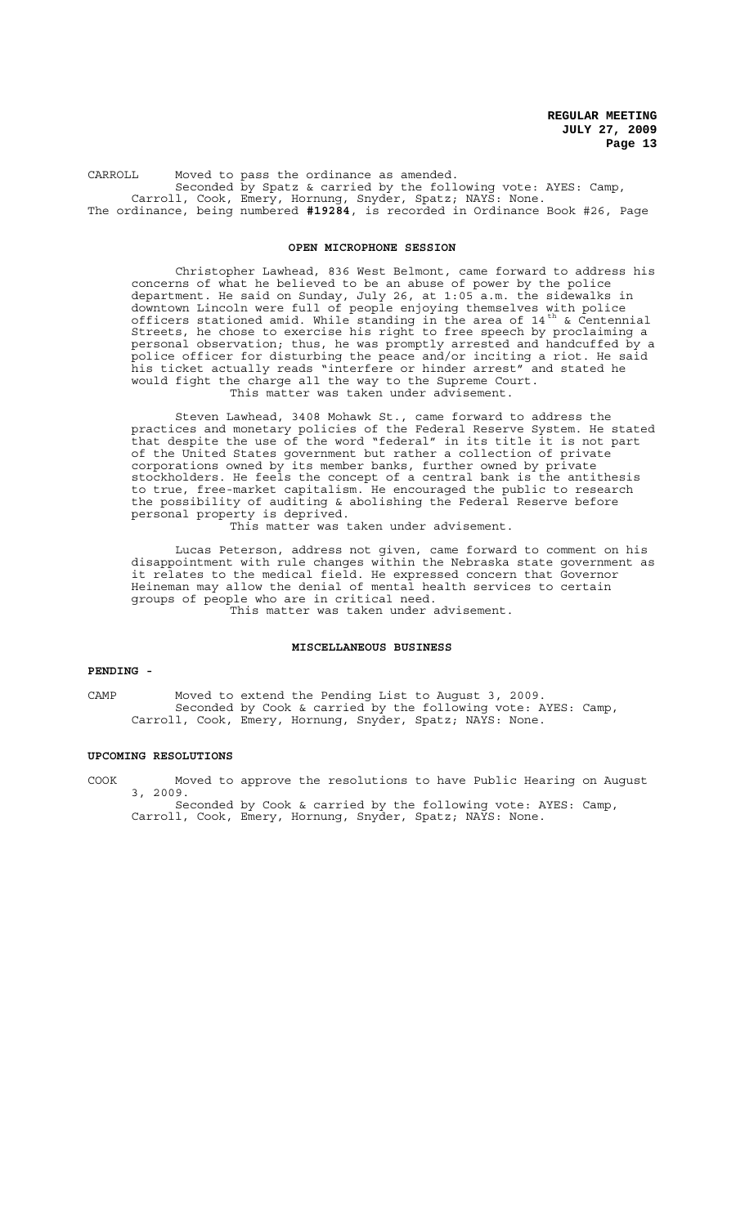CARROLL Moved to pass the ordinance as amended. Seconded by Spatz & carried by the following vote: AYES: Camp, Carroll, Cook, Emery, Hornung, Snyder, Spatz; NAYS: None. The ordinance, being numbered **#19284**, is recorded in Ordinance Book #26, Page

## **OPEN MICROPHONE SESSION**

Christopher Lawhead, 836 West Belmont, came forward to address his concerns of what he believed to be an abuse of power by the police department. He said on Sunday, July 26, at 1:05 a.m. the sidewalks in downtown Lincoln were full of people enjoying themselves with police officers stationed amid. While standing in the area of  $14^{th}$  & Centennial Streets, he chose to exercise his right to free speech by proclaiming a personal observation; thus, he was promptly arrested and handcuffed by a police officer for disturbing the peace and/or inciting a riot. He said his ticket actually reads "interfere or hinder arrest" and stated he would fight the charge all the way to the Supreme Court. This matter was taken under advisement.

Steven Lawhead, 3408 Mohawk St., came forward to address the practices and monetary policies of the Federal Reserve System. He stated that despite the use of the word "federal" in its title it is not part of the United States government but rather a collection of private corporations owned by its member banks, further owned by private stockholders. He feels the concept of a central bank is the antithesis to true, free-market capitalism. He encouraged the public to research the possibility of auditing & abolishing the Federal Reserve before personal property is deprived.

This matter was taken under advisement.

Lucas Peterson, address not given, came forward to comment on his disappointment with rule changes within the Nebraska state government as it relates to the medical field. He expressed concern that Governor Heineman may allow the denial of mental health services to certain groups of people who are in critical need. This matter was taken under advisement.

## **MISCELLANEOUS BUSINESS**

# **PENDING -**

CAMP Moved to extend the Pending List to August 3, 2009. Seconded by Cook & carried by the following vote: AYES: Camp, Carroll, Cook, Emery, Hornung, Snyder, Spatz; NAYS: None.

## **UPCOMING RESOLUTIONS**

COOK Moved to approve the resolutions to have Public Hearing on August 3, 2009.

Seconded by Cook & carried by the following vote: AYES: Camp, Carroll, Cook, Emery, Hornung, Snyder, Spatz; NAYS: None.